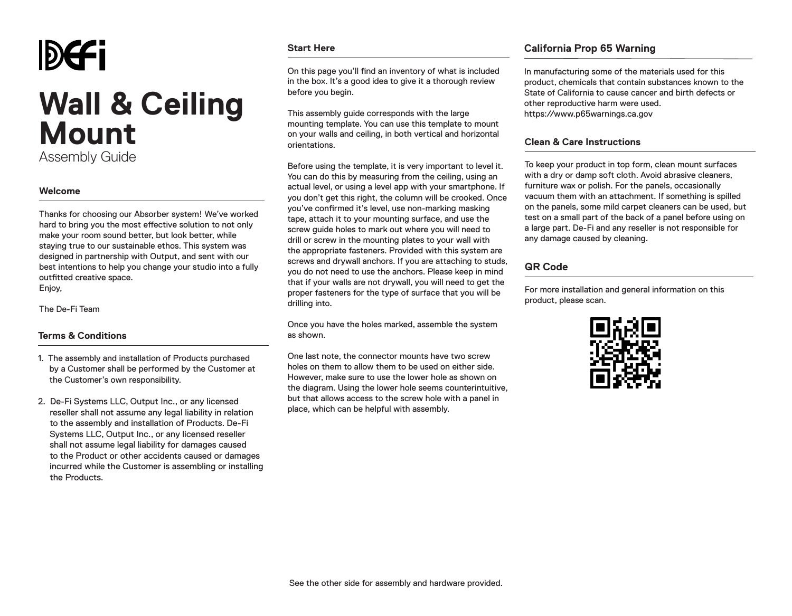# DGFi **Wall & Ceiling Mount**  Assembly Guide

#### **Welcome**

Thanks for choosing our Absorber system! We've worked hard to bring you the most effective solution to not only make your room sound better, but look better, while staying true to our sustainable ethos. This system was designed in partnership with Output, and sent with our best intentions to help you change your studio into a fully outfitted creative space. Enjoy,

The De-Fi Team

## **Terms & Conditions**

- 1. The assembly and installation of Products purchased by a Customer shall be performed by the Customer at the Customer's own responsibility.
- 2. De-Fi Systems LLC, Output Inc., or any licensed reseller shall not assume any legal liability in relation to the assembly and installation of Products. De-Fi Systems LLC, Output Inc., or any licensed reseller shall not assume legal liability for damages caused to the Product or other accidents caused or damages incurred while the Customer is assembling or installing the Products.

#### **Start Here**

On this page you'll find an inventory of what is included in the box. It's a good idea to give it a thorough review before you begin.

This assembly guide corresponds with the large mounting template. You can use this template to mount on your walls and ceiling, in both vertical and horizontal orientations.

Before using the template, it is very important to level it. You can do this by measuring from the ceiling, using an actual level, or using a level app with your smartphone. If you don't get this right, the column will be crooked. Once you've confirmed it's level, use non-marking masking tape, attach it to your mounting surface, and use the screw guide holes to mark out where you will need to drill or screw in the mounting plates to your wall with the appropriate fasteners. Provided with this system are screws and drywall anchors. If you are attaching to studs, you do not need to use the anchors. Please keep in mind that if your walls are not drywall, you will need to get the proper fasteners for the type of surface that you will be drilling into.

Once you have the holes marked, assemble the system as shown.

One last note, the connector mounts have two screw holes on them to allow them to be used on either side. However, make sure to use the lower hole as shown on the diagram. Using the lower hole seems counterintuitive, but that allows access to the screw hole with a panel in place, which can be helpful with assembly.

# **California Prop 65 Warning**

In manufacturing some of the materials used for this product, chemicals that contain substances known to the State of California to cause cancer and birth defects or other reproductive harm were used. https://www.p65warnings.ca.gov

### **Clean & Care Instructions**

To keep your product in top form, clean mount surfaces with a dry or damp soft cloth. Avoid abrasive cleaners, furniture wax or polish. For the panels, occasionally vacuum them with an attachment. If something is spilled on the panels, some mild carpet cleaners can be used, but test on a small part of the back of a panel before using on a large part. De-Fi and any reseller is not responsible for any damage caused by cleaning.

# **QR Code**

For more installation and general information on this product, please scan.